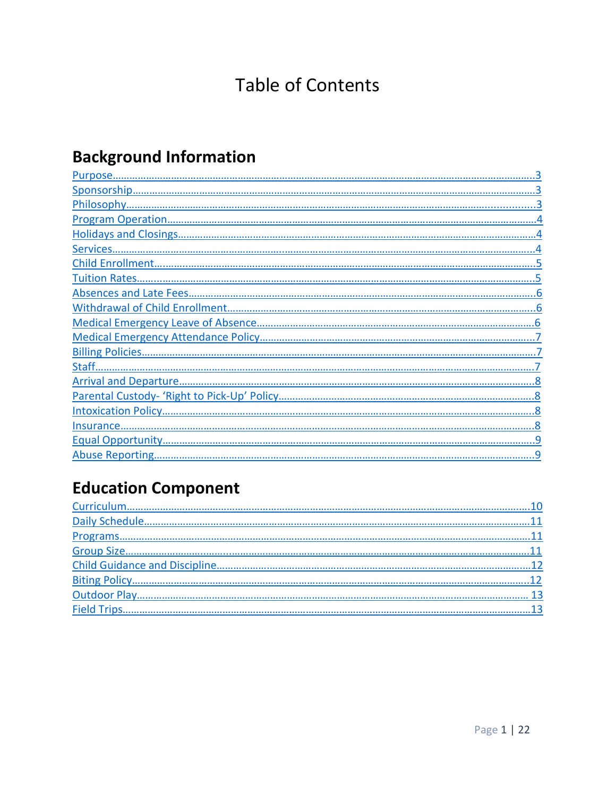## **Table of Contents**

# **Background Information**

## **Education Component**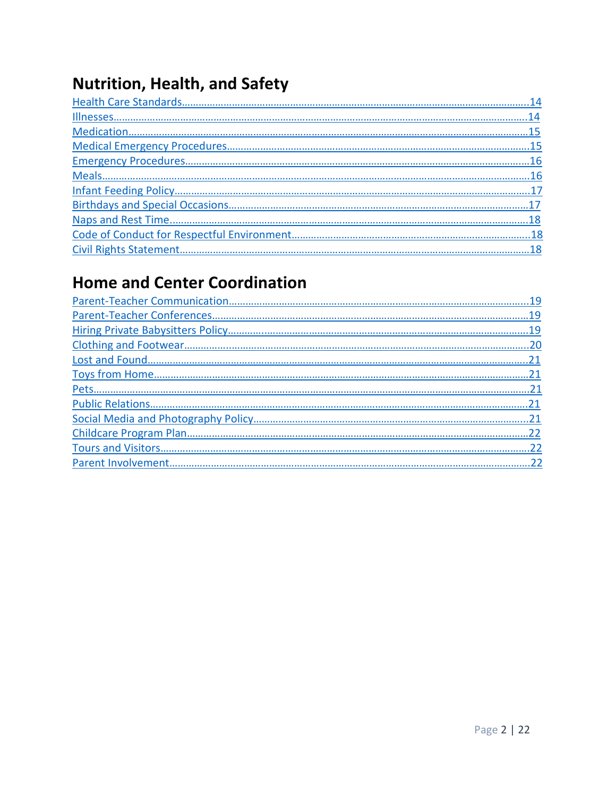## **Nutrition, Health, and Safety**

## **Home and Center Coordination**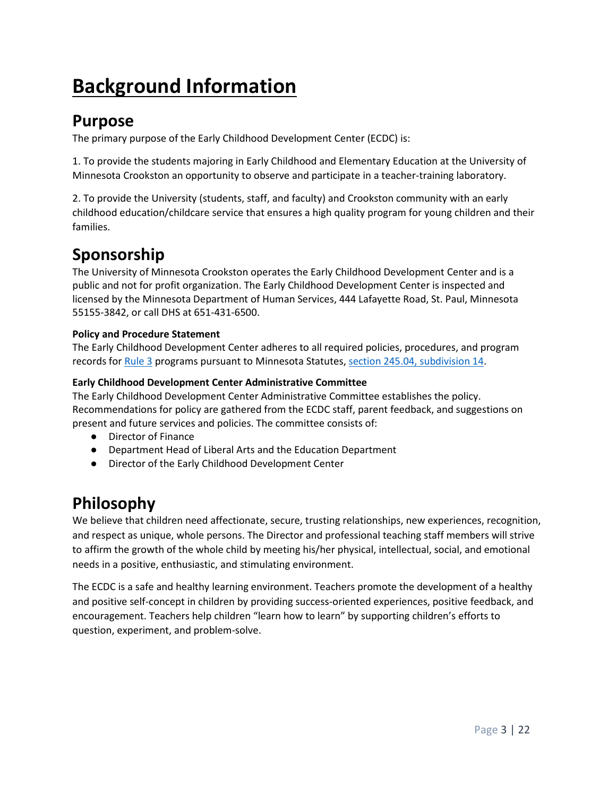# **Background Information**

#### <span id="page-2-0"></span>**Purpose**

The primary purpose of the Early Childhood Development Center (ECDC) is:

1. To provide the students majoring in Early Childhood and Elementary Education at the University of Minnesota Crookston an opportunity to observe and participate in a teacher-training laboratory.

2. To provide the University (students, staff, and faculty) and Crookston community with an early childhood education/childcare service that ensures a high quality program for young children and their families.

### <span id="page-2-1"></span>**Sponsorship**

The University of Minnesota Crookston operates the Early Childhood Development Center and is a public and not for profit organization. The Early Childhood Development Center is inspected and licensed by the Minnesota Department of Human Services, 444 Lafayette Road, St. Paul, Minnesota 55155-3842, or call DHS at 651-431-6500.

#### **Policy and Procedure Statement**

The Early Childhood Development Center adheres to all required policies, procedures, and program records fo[r Rule 3](https://www.revisor.mn.gov/rules/?id=9503) programs pursuant to Minnesota Statutes[, section 245.04, subdivision 14.](https://www.revisor.mn.gov/statutes/?id=245a.04)

#### **Early Childhood Development Center Administrative Committee**

The Early Childhood Development Center Administrative Committee establishes the policy. Recommendations for policy are gathered from the ECDC staff, parent feedback, and suggestions on present and future services and policies. The committee consists of:

- Director of Finance
- Department Head of Liberal Arts and the Education Department
- Director of the Early Childhood Development Center

## <span id="page-2-2"></span>**Philosophy**

We believe that children need affectionate, secure, trusting relationships, new experiences, recognition, and respect as unique, whole persons. The Director and professional teaching staff members will strive to affirm the growth of the whole child by meeting his/her physical, intellectual, social, and emotional needs in a positive, enthusiastic, and stimulating environment.

The ECDC is a safe and healthy learning environment. Teachers promote the development of a healthy and positive self-concept in children by providing success-oriented experiences, positive feedback, and encouragement. Teachers help children "learn how to learn" by supporting children's efforts to question, experiment, and problem-solve.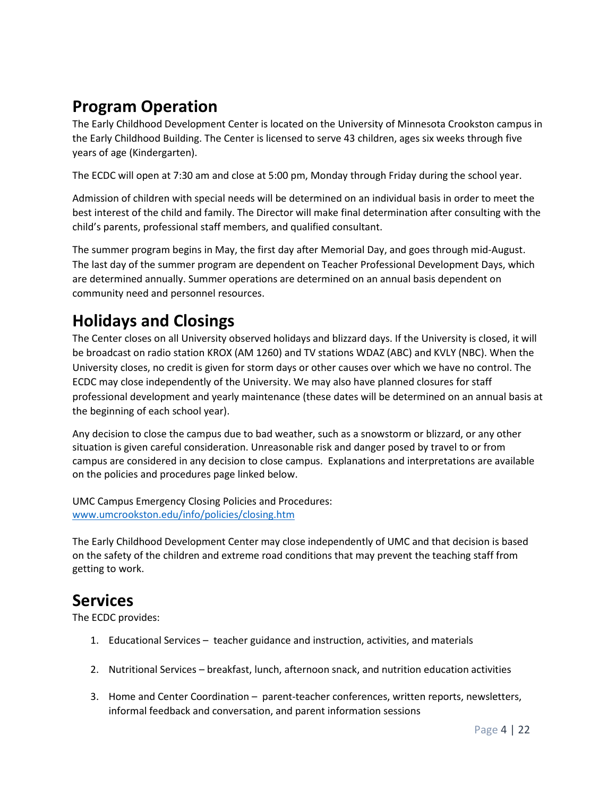## <span id="page-3-0"></span>**Program Operation**

The Early Childhood Development Center is located on the University of Minnesota Crookston campus in the Early Childhood Building. The Center is licensed to serve 43 children, ages six weeks through five years of age (Kindergarten).

The ECDC will open at 7:30 am and close at 5:00 pm, Monday through Friday during the school year.

Admission of children with special needs will be determined on an individual basis in order to meet the best interest of the child and family. The Director will make final determination after consulting with the child's parents, professional staff members, and qualified consultant.

The summer program begins in May, the first day after Memorial Day, and goes through mid-August. The last day of the summer program are dependent on Teacher Professional Development Days, which are determined annually. Summer operations are determined on an annual basis dependent on community need and personnel resources.

## <span id="page-3-1"></span>**Holidays and Closings**

The Center closes on all University observed holidays and blizzard days. If the University is closed, it will be broadcast on radio station KROX (AM 1260) and TV stations WDAZ (ABC) and KVLY (NBC). When the University closes, no credit is given for storm days or other causes over which we have no control. The ECDC may close independently of the University. We may also have planned closures for staff professional development and yearly maintenance (these dates will be determined on an annual basis at the beginning of each school year).

Any decision to close the campus due to bad weather, such as a snowstorm or blizzard, or any other situation is given careful consideration. Unreasonable risk and danger posed by travel to or from campus are considered in any decision to close campus. Explanations and interpretations are available on the policies and procedures page linked below.

UMC Campus Emergency Closing Policies and Procedures: [www.umcrookston.edu/info/policies/closing.htm](http://www.umcrookston.edu/info/policies/closing.htm)

The Early Childhood Development Center may close independently of UMC and that decision is based on the safety of the children and extreme road conditions that may prevent the teaching staff from getting to work.

#### <span id="page-3-2"></span>**Services**

The ECDC provides:

- 1. Educational Services teacher guidance and instruction, activities, and materials
- 2. Nutritional Services breakfast, lunch, afternoon snack, and nutrition education activities
- 3. Home and Center Coordination parent-teacher conferences, written reports, newsletters, informal feedback and conversation, and parent information sessions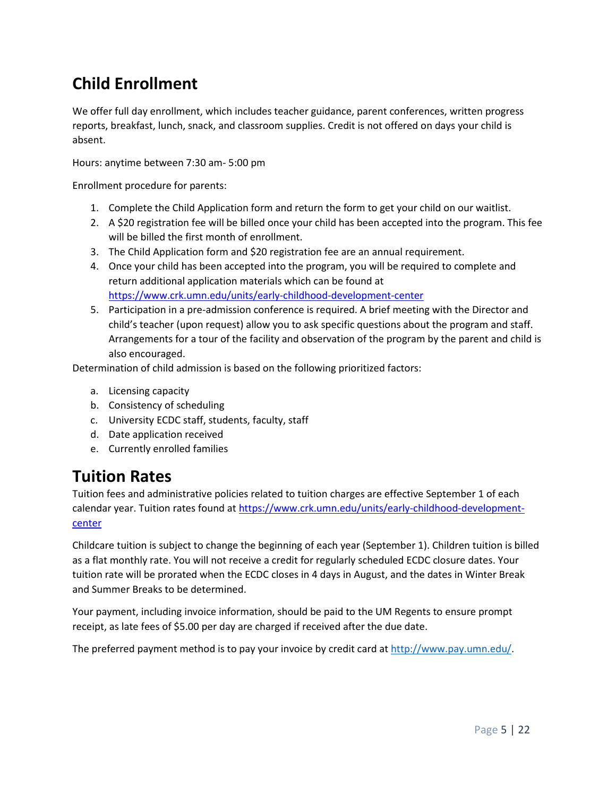## <span id="page-4-0"></span>**Child Enrollment**

We offer full day enrollment, which includes teacher guidance, parent conferences, written progress reports, breakfast, lunch, snack, and classroom supplies. Credit is not offered on days your child is absent.

Hours: anytime between 7:30 am- 5:00 pm

Enrollment procedure for parents:

- 1. Complete the Child Application form and return the form to get your child on our waitlist.
- 2. A \$20 registration fee will be billed once your child has been accepted into the program. This fee will be billed the first month of enrollment.
- 3. The Child Application form and \$20 registration fee are an annual requirement.
- 4. Once your child has been accepted into the program, you will be required to complete and return additional application materials which can be found at <https://www.crk.umn.edu/units/early-childhood-development-center>
- 5. Participation in a pre-admission conference is required. A brief meeting with the Director and child's teacher (upon request) allow you to ask specific questions about the program and staff. Arrangements for a tour of the facility and observation of the program by the parent and child is also encouraged.

Determination of child admission is based on the following prioritized factors:

- a. Licensing capacity
- b. Consistency of scheduling
- c. University ECDC staff, students, faculty, staff
- d. Date application received
- e. Currently enrolled families

#### <span id="page-4-1"></span>**Tuition Rates**

Tuition fees and administrative policies related to tuition charges are effective September 1 of each calendar year. Tuition rates found at [https://www.crk.umn.edu/units/early-childhood-development](https://www.crk.umn.edu/units/early-childhood-development-center)[center](https://www.crk.umn.edu/units/early-childhood-development-center)

Childcare tuition is subject to change the beginning of each year (September 1). Children tuition is billed as a flat monthly rate. You will not receive a credit for regularly scheduled ECDC closure dates. Your tuition rate will be prorated when the ECDC closes in 4 days in August, and the dates in Winter Break and Summer Breaks to be determined.

Your payment, including invoice information, should be paid to the UM Regents to ensure prompt receipt, as late fees of \$5.00 per day are charged if received after the due date.

The preferred payment method is to pay your invoice by credit card a[t http://www.pay.umn.edu/.](http://www.pay.umn.edu/)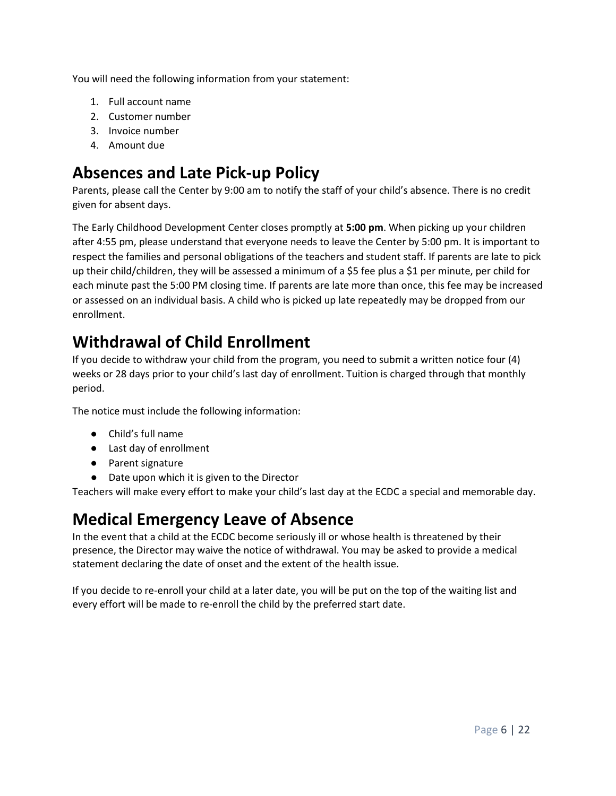You will need the following information from your statement:

- 1. Full account name
- 2. Customer number
- 3. Invoice number
- 4. Amount due

### <span id="page-5-0"></span>**Absences and Late Pick-up Policy**

Parents, please call the Center by 9:00 am to notify the staff of your child's absence. There is no credit given for absent days.

The Early Childhood Development Center closes promptly at **5:00 pm**. When picking up your children after 4:55 pm, please understand that everyone needs to leave the Center by 5:00 pm. It is important to respect the families and personal obligations of the teachers and student staff. If parents are late to pick up their child/children, they will be assessed a minimum of a \$5 fee plus a \$1 per minute, per child for each minute past the 5:00 PM closing time. If parents are late more than once, this fee may be increased or assessed on an individual basis. A child who is picked up late repeatedly may be dropped from our enrollment.

#### <span id="page-5-1"></span>**Withdrawal of Child Enrollment**

If you decide to withdraw your child from the program, you need to submit a written notice four (4) weeks or 28 days prior to your child's last day of enrollment. Tuition is charged through that monthly period.

The notice must include the following information:

- Child's full name
- Last day of enrollment
- Parent signature
- Date upon which it is given to the Director

Teachers will make every effort to make your child's last day at the ECDC a special and memorable day.

#### <span id="page-5-2"></span>**Medical Emergency Leave of Absence**

In the event that a child at the ECDC become seriously ill or whose health is threatened by their presence, the Director may waive the notice of withdrawal. You may be asked to provide a medical statement declaring the date of onset and the extent of the health issue.

<span id="page-5-3"></span>If you decide to re-enroll your child at a later date, you will be put on the top of the waiting list and every effort will be made to re-enroll the child by the preferred start date.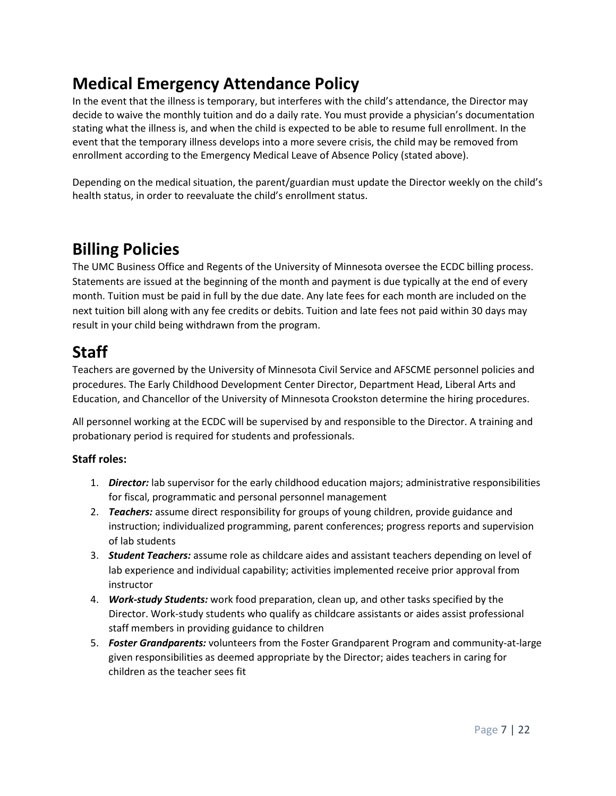### **Medical Emergency Attendance Policy**

In the event that the illness is temporary, but interferes with the child's attendance, the Director may decide to waive the monthly tuition and do a daily rate. You must provide a physician's documentation stating what the illness is, and when the child is expected to be able to resume full enrollment. In the event that the temporary illness develops into a more severe crisis, the child may be removed from enrollment according to the Emergency Medical Leave of Absence Policy (stated above).

Depending on the medical situation, the parent/guardian must update the Director weekly on the child's health status, in order to reevaluate the child's enrollment status.

#### <span id="page-6-0"></span>**Billing Policies**

The UMC Business Office and Regents of the University of Minnesota oversee the ECDC billing process. Statements are issued at the beginning of the month and payment is due typically at the end of every month. Tuition must be paid in full by the due date. Any late fees for each month are included on the next tuition bill along with any fee credits or debits. Tuition and late fees not paid within 30 days may result in your child being withdrawn from the program.

### <span id="page-6-1"></span>**Staff**

Teachers are governed by the University of Minnesota Civil Service and AFSCME personnel policies and procedures. The Early Childhood Development Center Director, Department Head, Liberal Arts and Education, and Chancellor of the University of Minnesota Crookston determine the hiring procedures.

All personnel working at the ECDC will be supervised by and responsible to the Director. A training and probationary period is required for students and professionals.

#### **Staff roles:**

- 1. *Director:* lab supervisor for the early childhood education majors; administrative responsibilities for fiscal, programmatic and personal personnel management
- 2. *Teachers:* assume direct responsibility for groups of young children, provide guidance and instruction; individualized programming, parent conferences; progress reports and supervision of lab students
- 3. *Student Teachers:* assume role as childcare aides and assistant teachers depending on level of lab experience and individual capability; activities implemented receive prior approval from instructor
- 4. *Work-study Students:* work food preparation, clean up, and other tasks specified by the Director. Work-study students who qualify as childcare assistants or aides assist professional staff members in providing guidance to children
- 5. *Foster Grandparents:* volunteers from the Foster Grandparent Program and community-at-large given responsibilities as deemed appropriate by the Director; aides teachers in caring for children as the teacher sees fit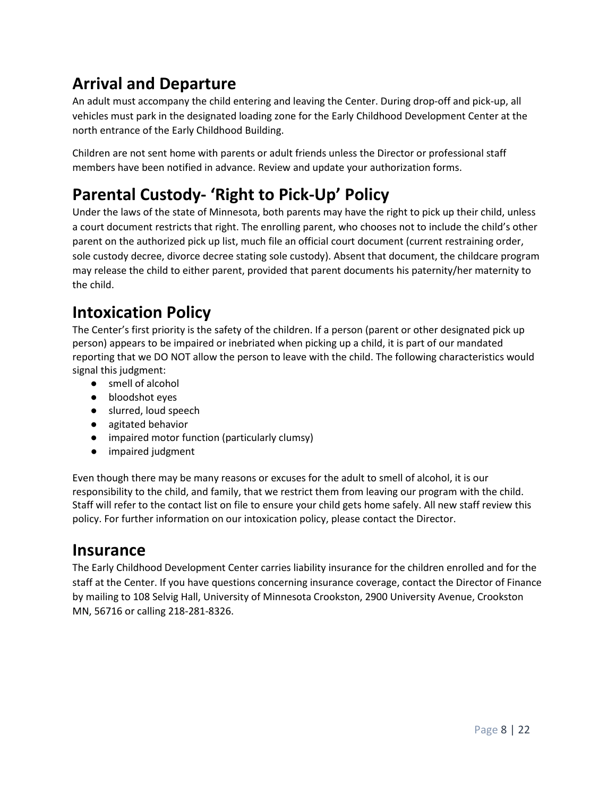## **Arrival and Departure**

An adult must accompany the child entering and leaving the Center. During drop-off and pick-up, all vehicles must park in the designated loading zone for the Early Childhood Development Center at the north entrance of the Early Childhood Building.

Children are not sent home with parents or adult friends unless the Director or professional staff members have been notified in advance. Review and update your authorization forms.

## **Parental Custody- 'Right to Pick-Up' Policy**

Under the laws of the state of Minnesota, both parents may have the right to pick up their child, unless a court document restricts that right. The enrolling parent, who chooses not to include the child's other parent on the authorized pick up list, much file an official court document (current restraining order, sole custody decree, divorce decree stating sole custody). Absent that document, the childcare program may release the child to either parent, provided that parent documents his paternity/her maternity to the child.

### <span id="page-7-0"></span>**Intoxication Policy**

The Center's first priority is the safety of the children. If a person (parent or other designated pick up person) appears to be impaired or inebriated when picking up a child, it is part of our mandated reporting that we DO NOT allow the person to leave with the child. The following characteristics would signal this judgment:

- smell of alcohol
- bloodshot eyes
- slurred, loud speech
- agitated behavior
- impaired motor function (particularly clumsy)
- impaired judgment

Even though there may be many reasons or excuses for the adult to smell of alcohol, it is our responsibility to the child, and family, that we restrict them from leaving our program with the child. Staff will refer to the contact list on file to ensure your child gets home safely. All new staff review this policy. For further information on our intoxication policy, please contact the Director.

#### <span id="page-7-1"></span>**Insurance**

The Early Childhood Development Center carries liability insurance for the children enrolled and for the staff at the Center. If you have questions concerning insurance coverage, contact the Director of Finance by mailing to 108 Selvig Hall, University of Minnesota Crookston, 2900 University Avenue, Crookston MN, 56716 or calling 218-281-8326.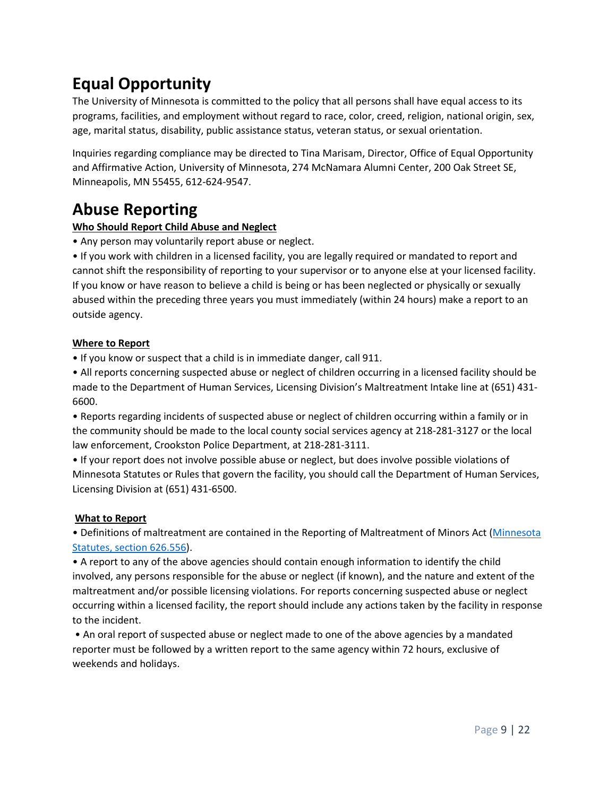## **Equal Opportunity**

The University of Minnesota is committed to the policy that all persons shall have equal access to its programs, facilities, and employment without regard to race, color, creed, religion, national origin, sex, age, marital status, disability, public assistance status, veteran status, or sexual orientation.

<span id="page-8-0"></span>Inquiries regarding compliance may be directed to Tina Marisam, Director, Office of Equal Opportunity and Affirmative Action, University of Minnesota, 274 McNamara Alumni Center, 200 Oak Street SE, Minneapolis, MN 55455, 612-624-9547.

### **Abuse Reporting**

#### **Who Should Report Child Abuse and Neglect**

• Any person may voluntarily report abuse or neglect.

• If you work with children in a licensed facility, you are legally required or mandated to report and cannot shift the responsibility of reporting to your supervisor or to anyone else at your licensed facility. If you know or have reason to believe a child is being or has been neglected or physically or sexually abused within the preceding three years you must immediately (within 24 hours) make a report to an outside agency.

#### **Where to Report**

• If you know or suspect that a child is in immediate danger, call 911.

• All reports concerning suspected abuse or neglect of children occurring in a licensed facility should be made to the Department of Human Services, Licensing Division's Maltreatment Intake line at (651) 431- 6600.

• Reports regarding incidents of suspected abuse or neglect of children occurring within a family or in the community should be made to the local county social services agency at 218-281-3127 or the local law enforcement, Crookston Police Department, at 218-281-3111.

• If your report does not involve possible abuse or neglect, but does involve possible violations of Minnesota Statutes or Rules that govern the facility, you should call the Department of Human Services, Licensing Division at (651) 431-6500.

#### **What to Report**

• Definitions of maltreatment are contained in the Reporting of Maltreatment of Minors Act [\(Minnesota](https://www.revisor.mn.gov/statutes/?id=626.556)  [Statutes, section 626.556\)](https://www.revisor.mn.gov/statutes/?id=626.556).

• A report to any of the above agencies should contain enough information to identify the child involved, any persons responsible for the abuse or neglect (if known), and the nature and extent of the maltreatment and/or possible licensing violations. For reports concerning suspected abuse or neglect occurring within a licensed facility, the report should include any actions taken by the facility in response to the incident.

• An oral report of suspected abuse or neglect made to one of the above agencies by a mandated reporter must be followed by a written report to the same agency within 72 hours, exclusive of weekends and holidays.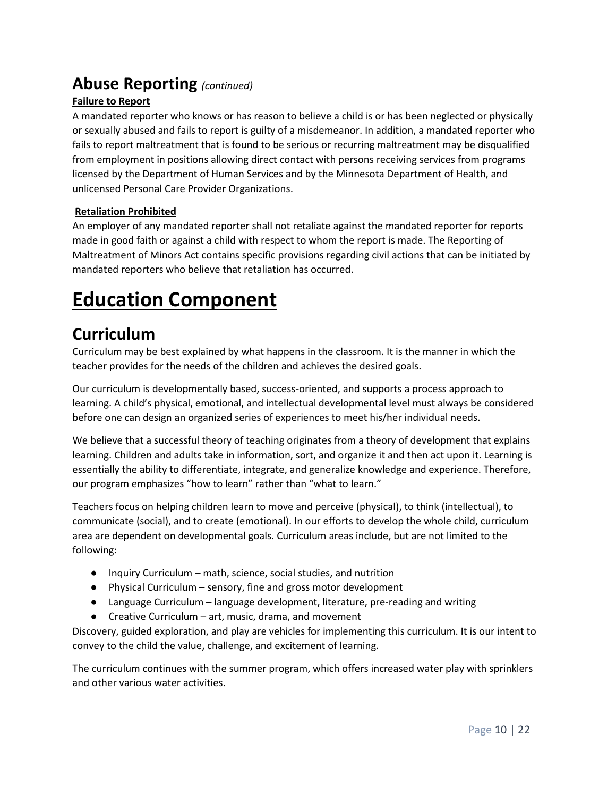#### **Abuse Reporting** *(continued)*

#### **Failure to Report**

A mandated reporter who knows or has reason to believe a child is or has been neglected or physically or sexually abused and fails to report is guilty of a misdemeanor. In addition, a mandated reporter who fails to report maltreatment that is found to be serious or recurring maltreatment may be disqualified from employment in positions allowing direct contact with persons receiving services from programs licensed by the Department of Human Services and by the Minnesota Department of Health, and unlicensed Personal Care Provider Organizations.

#### **Retaliation Prohibited**

An employer of any mandated reporter shall not retaliate against the mandated reporter for reports made in good faith or against a child with respect to whom the report is made. The Reporting of Maltreatment of Minors Act contains specific provisions regarding civil actions that can be initiated by mandated reporters who believe that retaliation has occurred.

# **Education Component**

### <span id="page-9-0"></span>**Curriculum**

Curriculum may be best explained by what happens in the classroom. It is the manner in which the teacher provides for the needs of the children and achieves the desired goals.

Our curriculum is developmentally based, success-oriented, and supports a process approach to learning. A child's physical, emotional, and intellectual developmental level must always be considered before one can design an organized series of experiences to meet his/her individual needs.

We believe that a successful theory of teaching originates from a theory of development that explains learning. Children and adults take in information, sort, and organize it and then act upon it. Learning is essentially the ability to differentiate, integrate, and generalize knowledge and experience. Therefore, our program emphasizes "how to learn" rather than "what to learn."

Teachers focus on helping children learn to move and perceive (physical), to think (intellectual), to communicate (social), and to create (emotional). In our efforts to develop the whole child, curriculum area are dependent on developmental goals. Curriculum areas include, but are not limited to the following:

- Inquiry Curriculum math, science, social studies, and nutrition
- Physical Curriculum sensory, fine and gross motor development
- Language Curriculum language development, literature, pre-reading and writing
- Creative Curriculum art, music, drama, and movement

Discovery, guided exploration, and play are vehicles for implementing this curriculum. It is our intent to convey to the child the value, challenge, and excitement of learning.

<span id="page-9-1"></span>The curriculum continues with the summer program, which offers increased water play with sprinklers and other various water activities.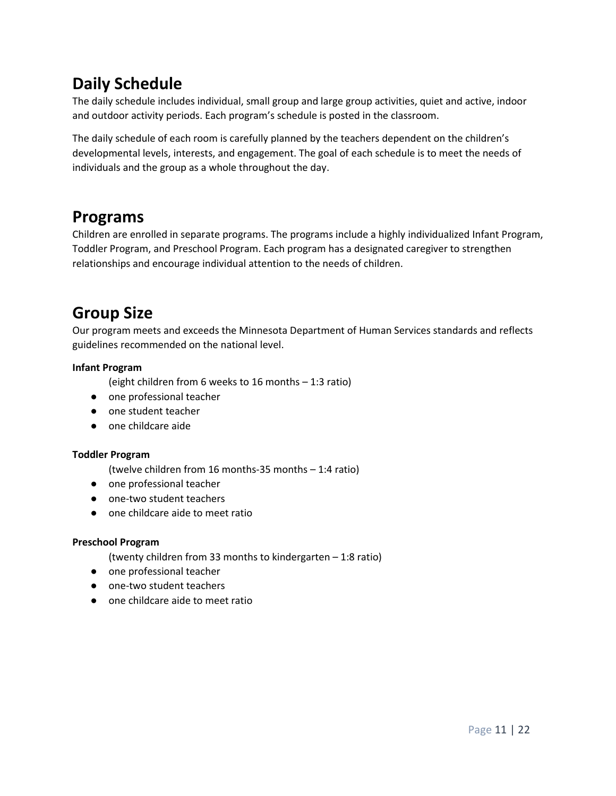### **Daily Schedule**

The daily schedule includes individual, small group and large group activities, quiet and active, indoor and outdoor activity periods. Each program's schedule is posted in the classroom.

The daily schedule of each room is carefully planned by the teachers dependent on the children's developmental levels, interests, and engagement. The goal of each schedule is to meet the needs of individuals and the group as a whole throughout the day.

#### <span id="page-10-0"></span>**Programs**

Children are enrolled in separate programs. The programs include a highly individualized Infant Program, Toddler Program, and Preschool Program. Each program has a designated caregiver to strengthen relationships and encourage individual attention to the needs of children.

### <span id="page-10-1"></span>**Group Size**

Our program meets and exceeds the Minnesota Department of Human Services standards and reflects guidelines recommended on the national level.

#### **Infant Program**

(eight children from 6 weeks to 16 months – 1:3 ratio)

- one professional teacher
- one student teacher
- one childcare aide

#### **Toddler Program**

(twelve children from 16 months-35 months – 1:4 ratio)

- one professional teacher
- one-two student teachers
- one childcare aide to meet ratio

#### **Preschool Program**

(twenty children from 33 months to kindergarten – 1:8 ratio)

- one professional teacher
- one-two student teachers
- <span id="page-10-2"></span>● one childcare aide to meet ratio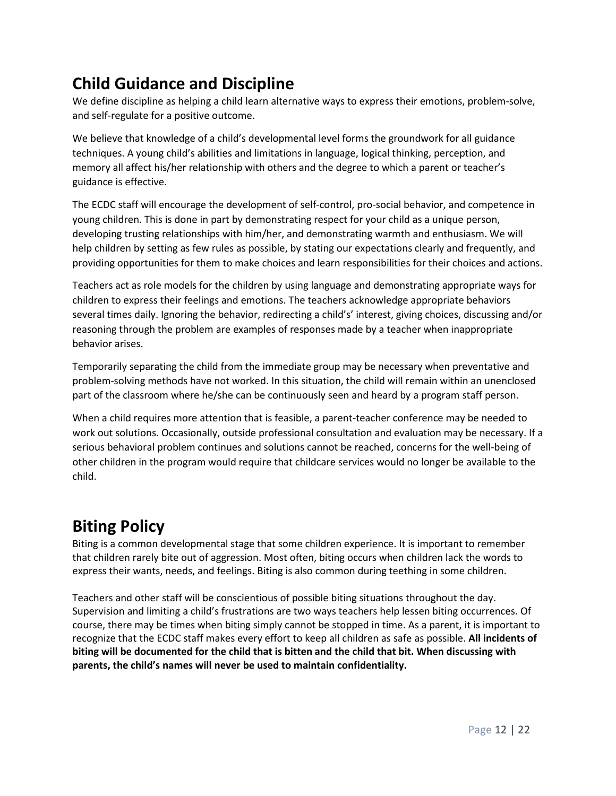## **Child Guidance and Discipline**

We define discipline as helping a child learn alternative ways to express their emotions, problem-solve, and self-regulate for a positive outcome.

We believe that knowledge of a child's developmental level forms the groundwork for all guidance techniques. A young child's abilities and limitations in language, logical thinking, perception, and memory all affect his/her relationship with others and the degree to which a parent or teacher's guidance is effective.

The ECDC staff will encourage the development of self-control, pro-social behavior, and competence in young children. This is done in part by demonstrating respect for your child as a unique person, developing trusting relationships with him/her, and demonstrating warmth and enthusiasm. We will help children by setting as few rules as possible, by stating our expectations clearly and frequently, and providing opportunities for them to make choices and learn responsibilities for their choices and actions.

Teachers act as role models for the children by using language and demonstrating appropriate ways for children to express their feelings and emotions. The teachers acknowledge appropriate behaviors several times daily. Ignoring the behavior, redirecting a child's' interest, giving choices, discussing and/or reasoning through the problem are examples of responses made by a teacher when inappropriate behavior arises.

Temporarily separating the child from the immediate group may be necessary when preventative and problem-solving methods have not worked. In this situation, the child will remain within an unenclosed part of the classroom where he/she can be continuously seen and heard by a program staff person.

When a child requires more attention that is feasible, a parent-teacher conference may be needed to work out solutions. Occasionally, outside professional consultation and evaluation may be necessary. If a serious behavioral problem continues and solutions cannot be reached, concerns for the well-being of other children in the program would require that childcare services would no longer be available to the child.

### <span id="page-11-0"></span>**Biting Policy**

Biting is a common developmental stage that some children experience. It is important to remember that children rarely bite out of aggression. Most often, biting occurs when children lack the words to express their wants, needs, and feelings. Biting is also common during teething in some children.

Teachers and other staff will be conscientious of possible biting situations throughout the day. Supervision and limiting a child's frustrations are two ways teachers help lessen biting occurrences. Of course, there may be times when biting simply cannot be stopped in time. As a parent, it is important to recognize that the ECDC staff makes every effort to keep all children as safe as possible. **All incidents of biting will be documented for the child that is bitten and the child that bit. When discussing with parents, the child's names will never be used to maintain confidentiality.**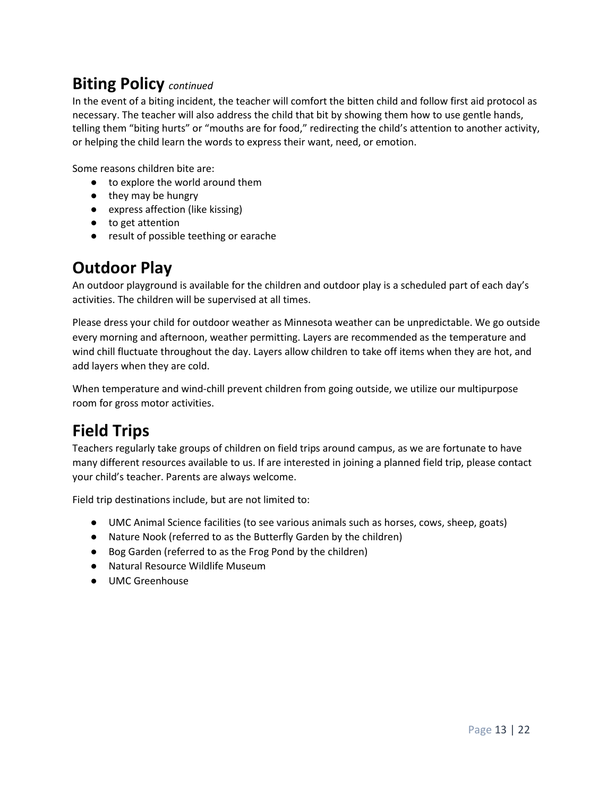#### **Biting Policy** *continued*

In the event of a biting incident, the teacher will comfort the bitten child and follow first aid protocol as necessary. The teacher will also address the child that bit by showing them how to use gentle hands, telling them "biting hurts" or "mouths are for food," redirecting the child's attention to another activity, or helping the child learn the words to express their want, need, or emotion.

Some reasons children bite are:

- to explore the world around them
- they may be hungry
- express affection (like kissing)
- to get attention
- result of possible teething or earache

#### <span id="page-12-0"></span>**Outdoor Play**

An outdoor playground is available for the children and outdoor play is a scheduled part of each day's activities. The children will be supervised at all times.

Please dress your child for outdoor weather as Minnesota weather can be unpredictable. We go outside every morning and afternoon, weather permitting. Layers are recommended as the temperature and wind chill fluctuate throughout the day. Layers allow children to take off items when they are hot, and add layers when they are cold.

When temperature and wind-chill prevent children from going outside, we utilize our multipurpose room for gross motor activities.

### <span id="page-12-1"></span>**Field Trips**

Teachers regularly take groups of children on field trips around campus, as we are fortunate to have many different resources available to us. If are interested in joining a planned field trip, please contact your child's teacher. Parents are always welcome.

Field trip destinations include, but are not limited to:

- UMC Animal Science facilities (to see various animals such as horses, cows, sheep, goats)
- Nature Nook (referred to as the Butterfly Garden by the children)
- Bog Garden (referred to as the Frog Pond by the children)
- Natural Resource Wildlife Museum
- UMC Greenhouse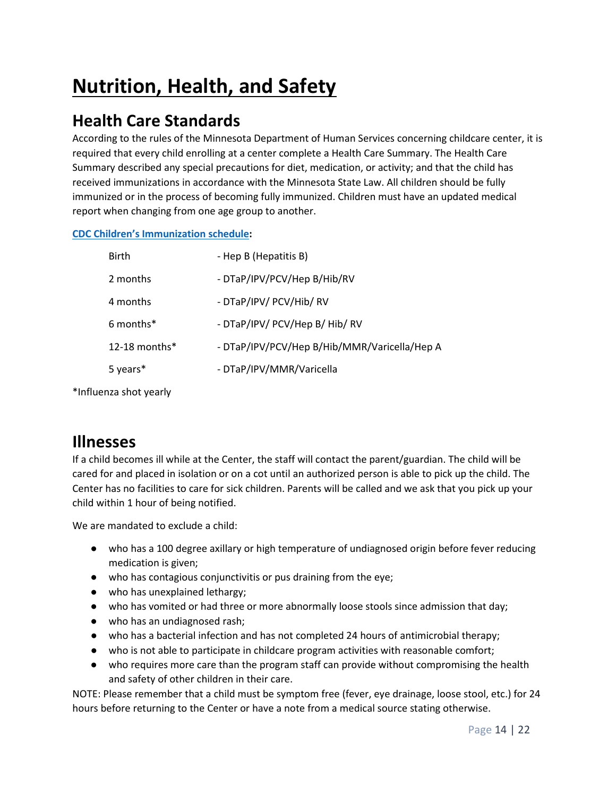# **Nutrition, Health, and Safety**

### <span id="page-13-0"></span>**Health Care Standards**

According to the rules of the Minnesota Department of Human Services concerning childcare center, it is required that every child enrolling at a center complete a Health Care Summary. The Health Care Summary described any special precautions for diet, medication, or activity; and that the child has received immunizations in accordance with the Minnesota State Law. All children should be fully immunized or in the process of becoming fully immunized. Children must have an updated medical report when changing from one age group to another.

#### **[CDC Children's](https://www.cdc.gov/vaccines/schedules/easy-to-read/child.html) [Immunization schedule:](https://www.cdc.gov/vaccines/schedules/easy-to-read/child.html)**

| <b>Birth</b>     | - Hep B (Hepatitis B)                        |
|------------------|----------------------------------------------|
| 2 months         | - DTaP/IPV/PCV/Hep B/Hib/RV                  |
| 4 months         | - DTaP/IPV/ PCV/Hib/ RV                      |
| 6 months*        | - DTaP/IPV/ PCV/Hep B/ Hib/ RV               |
| 12-18 months $*$ | - DTaP/IPV/PCV/Hep B/Hib/MMR/Varicella/Hep A |
| 5 years*         | - DTaP/IPV/MMR/Varicella                     |
|                  |                                              |

\*Influenza shot yearly

#### <span id="page-13-1"></span>**Illnesses**

If a child becomes ill while at the Center, the staff will contact the parent/guardian. The child will be cared for and placed in isolation or on a cot until an authorized person is able to pick up the child. The Center has no facilities to care for sick children. Parents will be called and we ask that you pick up your child within 1 hour of being notified.

We are mandated to exclude a child:

- who has a 100 degree axillary or high temperature of undiagnosed origin before fever reducing medication is given;
- who has contagious conjunctivitis or pus draining from the eye;
- who has unexplained lethargy;
- who has vomited or had three or more abnormally loose stools since admission that day;
- who has an undiagnosed rash;
- who has a bacterial infection and has not completed 24 hours of antimicrobial therapy;
- who is not able to participate in childcare program activities with reasonable comfort;
- who requires more care than the program staff can provide without compromising the health and safety of other children in their care.

NOTE: Please remember that a child must be symptom free (fever, eye drainage, loose stool, etc.) for 24 hours before returning to the Center or have a note from a medical source stating otherwise.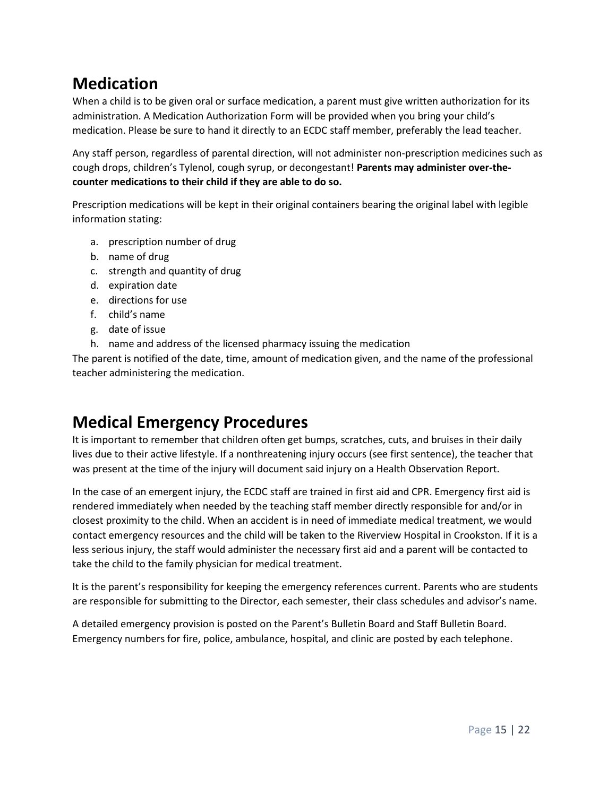### <span id="page-14-0"></span>**Medication**

When a child is to be given oral or surface medication, a parent must give written authorization for its administration. A Medication Authorization Form will be provided when you bring your child's medication. Please be sure to hand it directly to an ECDC staff member, preferably the lead teacher.

Any staff person, regardless of parental direction, will not administer non-prescription medicines such as cough drops, children's Tylenol, cough syrup, or decongestant! **Parents may administer over-thecounter medications to their child if they are able to do so.**

Prescription medications will be kept in their original containers bearing the original label with legible information stating:

- a. prescription number of drug
- b. name of drug
- c. strength and quantity of drug
- d. expiration date
- e. directions for use
- f. child's name
- g. date of issue
- h. name and address of the licensed pharmacy issuing the medication

The parent is notified of the date, time, amount of medication given, and the name of the professional teacher administering the medication.

### <span id="page-14-1"></span>**Medical Emergency Procedures**

It is important to remember that children often get bumps, scratches, cuts, and bruises in their daily lives due to their active lifestyle. If a nonthreatening injury occurs (see first sentence), the teacher that was present at the time of the injury will document said injury on a Health Observation Report.

In the case of an emergent injury, the ECDC staff are trained in first aid and CPR. Emergency first aid is rendered immediately when needed by the teaching staff member directly responsible for and/or in closest proximity to the child. When an accident is in need of immediate medical treatment, we would contact emergency resources and the child will be taken to the Riverview Hospital in Crookston. If it is a less serious injury, the staff would administer the necessary first aid and a parent will be contacted to take the child to the family physician for medical treatment.

It is the parent's responsibility for keeping the emergency references current. Parents who are students are responsible for submitting to the Director, each semester, their class schedules and advisor's name.

A detailed emergency provision is posted on the Parent's Bulletin Board and Staff Bulletin Board. Emergency numbers for fire, police, ambulance, hospital, and clinic are posted by each telephone.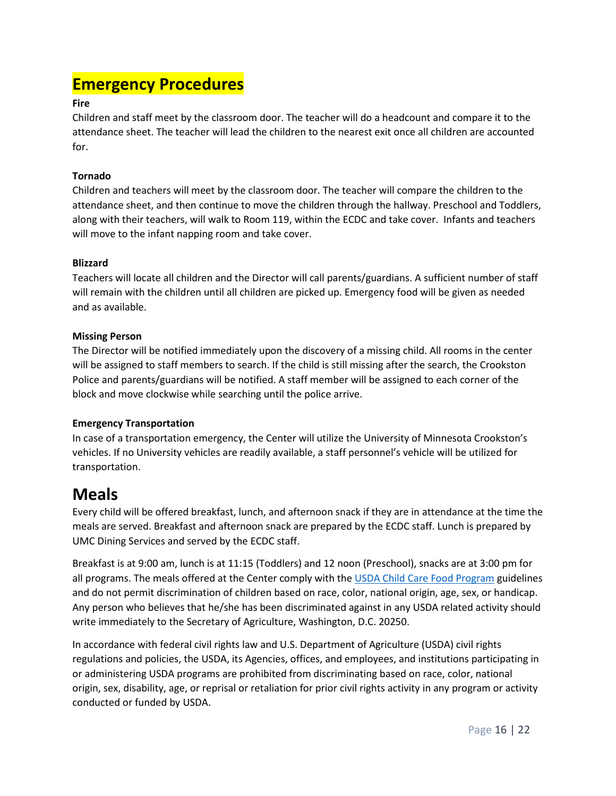#### <span id="page-15-0"></span>**Emergency Procedures**

#### **Fire**

Children and staff meet by the classroom door. The teacher will do a headcount and compare it to the attendance sheet. The teacher will lead the children to the nearest exit once all children are accounted for.

#### **Tornado**

Children and teachers will meet by the classroom door. The teacher will compare the children to the attendance sheet, and then continue to move the children through the hallway. Preschool and Toddlers, along with their teachers, will walk to Room 119, within the ECDC and take cover. Infants and teachers will move to the infant napping room and take cover.

#### **Blizzard**

Teachers will locate all children and the Director will call parents/guardians. A sufficient number of staff will remain with the children until all children are picked up. Emergency food will be given as needed and as available.

#### **Missing Person**

The Director will be notified immediately upon the discovery of a missing child. All rooms in the center will be assigned to staff members to search. If the child is still missing after the search, the Crookston Police and parents/guardians will be notified. A staff member will be assigned to each corner of the block and move clockwise while searching until the police arrive.

#### **Emergency Transportation**

In case of a transportation emergency, the Center will utilize the University of Minnesota Crookston's vehicles. If no University vehicles are readily available, a staff personnel's vehicle will be utilized for transportation.

#### <span id="page-15-1"></span>**Meals**

Every child will be offered breakfast, lunch, and afternoon snack if they are in attendance at the time the meals are served. Breakfast and afternoon snack are prepared by the ECDC staff. Lunch is prepared by UMC Dining Services and served by the ECDC staff.

Breakfast is at 9:00 am, lunch is at 11:15 (Toddlers) and 12 noon (Preschool), snacks are at 3:00 pm for all programs. The meals offered at the Center comply with th[e USDA Child Care Food Program](https://www.fns.usda.gov/cacfp/meals-and-snacks) guidelines and do not permit discrimination of children based on race, color, national origin, age, sex, or handicap. Any person who believes that he/she has been discriminated against in any USDA related activity should write immediately to the Secretary of Agriculture, Washington, D.C. 20250.

In accordance with federal civil rights law and U.S. Department of Agriculture (USDA) civil rights regulations and policies, the USDA, its Agencies, offices, and employees, and institutions participating in or administering USDA programs are prohibited from discriminating based on race, color, national origin, sex, disability, age, or reprisal or retaliation for prior civil rights activity in any program or activity conducted or funded by USDA.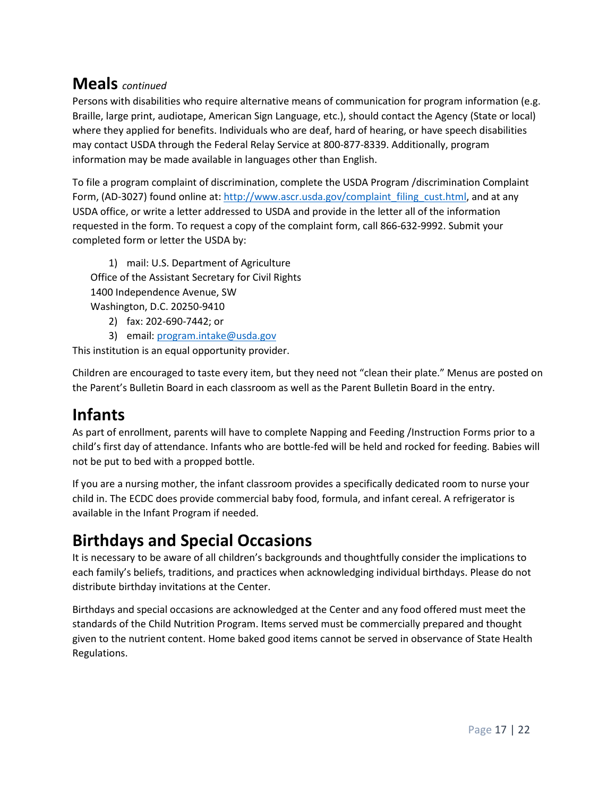#### **Meals** *continued*

Persons with disabilities who require alternative means of communication for program information (e.g. Braille, large print, audiotape, American Sign Language, etc.), should contact the Agency (State or local) where they applied for benefits. Individuals who are deaf, hard of hearing, or have speech disabilities may contact USDA through the Federal Relay Service at 800-877-8339. Additionally, program information may be made available in languages other than English.

To file a program complaint of discrimination, complete the USDA Program /discrimination Complaint Form, (AD-3027) found online at[: http://www.ascr.usda.gov/complaint\\_filing\\_cust.html,](http://www.ascr.usda.gov/complaint_filing_cust.html) and at any USDA office, or write a letter addressed to USDA and provide in the letter all of the information requested in the form. To request a copy of the complaint form, call 866-632-9992. Submit your completed form or letter the USDA by:

1) mail: U.S. Department of Agriculture Office of the Assistant Secretary for Civil Rights 1400 Independence Avenue, SW Washington, D.C. 20250-9410

- 2) fax: 202-690-7442; or
- 3) email: [program.intake@usda.gov](mailto:program.intake@usda.gov)

This institution is an equal opportunity provider.

Children are encouraged to taste every item, but they need not "clean their plate." Menus are posted on the Parent's Bulletin Board in each classroom as well as the Parent Bulletin Board in the entry.

## <span id="page-16-0"></span>**Infants**

As part of enrollment, parents will have to complete Napping and Feeding /Instruction Forms prior to a child's first day of attendance. Infants who are bottle-fed will be held and rocked for feeding. Babies will not be put to bed with a propped bottle.

If you are a nursing mother, the infant classroom provides a specifically dedicated room to nurse your child in. The ECDC does provide commercial baby food, formula, and infant cereal. A refrigerator is available in the Infant Program if needed.

## <span id="page-16-1"></span>**Birthdays and Special Occasions**

It is necessary to be aware of all children's backgrounds and thoughtfully consider the implications to each family's beliefs, traditions, and practices when acknowledging individual birthdays. Please do not distribute birthday invitations at the Center.

Birthdays and special occasions are acknowledged at the Center and any food offered must meet the standards of the Child Nutrition Program. Items served must be commercially prepared and thought given to the nutrient content. Home baked good items cannot be served in observance of State Health Regulations.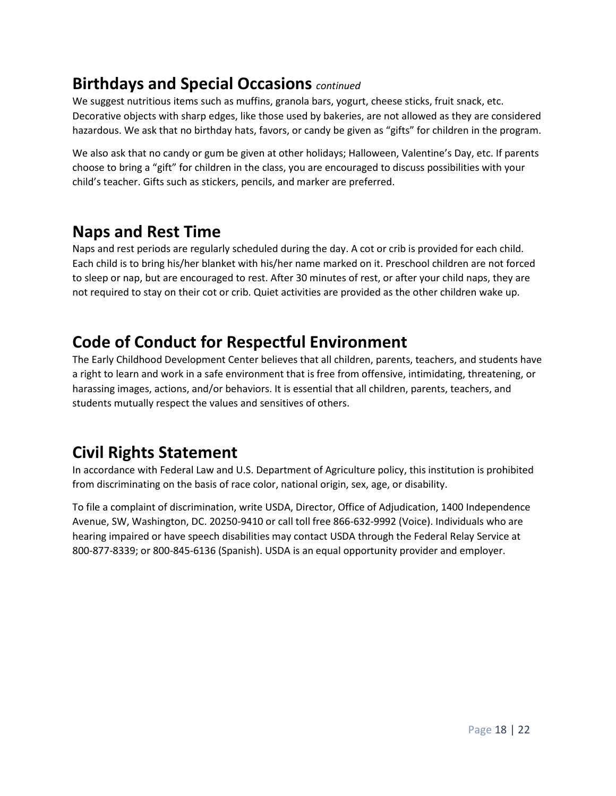#### **Birthdays and Special Occasions** *continued*

We suggest nutritious items such as muffins, granola bars, yogurt, cheese sticks, fruit snack, etc. Decorative objects with sharp edges, like those used by bakeries, are not allowed as they are considered hazardous. We ask that no birthday hats, favors, or candy be given as "gifts" for children in the program.

We also ask that no candy or gum be given at other holidays; Halloween, Valentine's Day, etc. If parents choose to bring a "gift" for children in the class, you are encouraged to discuss possibilities with your child's teacher. Gifts such as stickers, pencils, and marker are preferred.

#### <span id="page-17-0"></span>**Naps and Rest Time**

Naps and rest periods are regularly scheduled during the day. A cot or crib is provided for each child. Each child is to bring his/her blanket with his/her name marked on it. Preschool children are not forced to sleep or nap, but are encouraged to rest. After 30 minutes of rest, or after your child naps, they are not required to stay on their cot or crib. Quiet activities are provided as the other children wake up.

### <span id="page-17-1"></span>**Code of Conduct for Respectful Environment**

The Early Childhood Development Center believes that all children, parents, teachers, and students have a right to learn and work in a safe environment that is free from offensive, intimidating, threatening, or harassing images, actions, and/or behaviors. It is essential that all children, parents, teachers, and students mutually respect the values and sensitives of others.

### <span id="page-17-2"></span>**Civil Rights Statement**

In accordance with Federal Law and U.S. Department of Agriculture policy, this institution is prohibited from discriminating on the basis of race color, national origin, sex, age, or disability.

To file a complaint of discrimination, write USDA, Director, Office of Adjudication, 1400 Independence Avenue, SW, Washington, DC. 20250-9410 or call toll free 866-632-9992 (Voice). Individuals who are hearing impaired or have speech disabilities may contact USDA through the Federal Relay Service at 800-877-8339; or 800-845-6136 (Spanish). USDA is an equal opportunity provider and employer.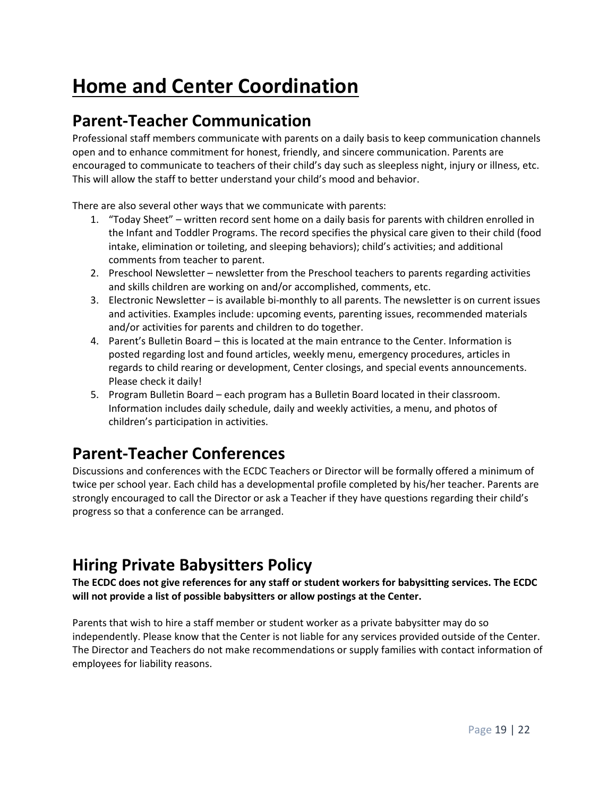# **Home and Center Coordination**

#### <span id="page-18-0"></span>**Parent-Teacher Communication**

Professional staff members communicate with parents on a daily basis to keep communication channels open and to enhance commitment for honest, friendly, and sincere communication. Parents are encouraged to communicate to teachers of their child's day such as sleepless night, injury or illness, etc. This will allow the staff to better understand your child's mood and behavior.

There are also several other ways that we communicate with parents:

- 1. "Today Sheet" written record sent home on a daily basis for parents with children enrolled in the Infant and Toddler Programs. The record specifies the physical care given to their child (food intake, elimination or toileting, and sleeping behaviors); child's activities; and additional comments from teacher to parent.
- 2. Preschool Newsletter newsletter from the Preschool teachers to parents regarding activities and skills children are working on and/or accomplished, comments, etc.
- 3. Electronic Newsletter is available bi-monthly to all parents. The newsletter is on current issues and activities. Examples include: upcoming events, parenting issues, recommended materials and/or activities for parents and children to do together.
- 4. Parent's Bulletin Board this is located at the main entrance to the Center. Information is posted regarding lost and found articles, weekly menu, emergency procedures, articles in regards to child rearing or development, Center closings, and special events announcements. Please check it daily!
- 5. Program Bulletin Board each program has a Bulletin Board located in their classroom. Information includes daily schedule, daily and weekly activities, a menu, and photos of children's participation in activities.

## <span id="page-18-1"></span>**Parent-Teacher Conferences**

Discussions and conferences with the ECDC Teachers or Director will be formally offered a minimum of twice per school year. Each child has a developmental profile completed by his/her teacher. Parents are strongly encouraged to call the Director or ask a Teacher if they have questions regarding their child's progress so that a conference can be arranged.

## <span id="page-18-2"></span>**Hiring Private Babysitters Policy**

**The ECDC does not give references for any staff or student workers for babysitting services. The ECDC will not provide a list of possible babysitters or allow postings at the Center.**

Parents that wish to hire a staff member or student worker as a private babysitter may do so independently. Please know that the Center is not liable for any services provided outside of the Center. The Director and Teachers do not make recommendations or supply families with contact information of employees for liability reasons.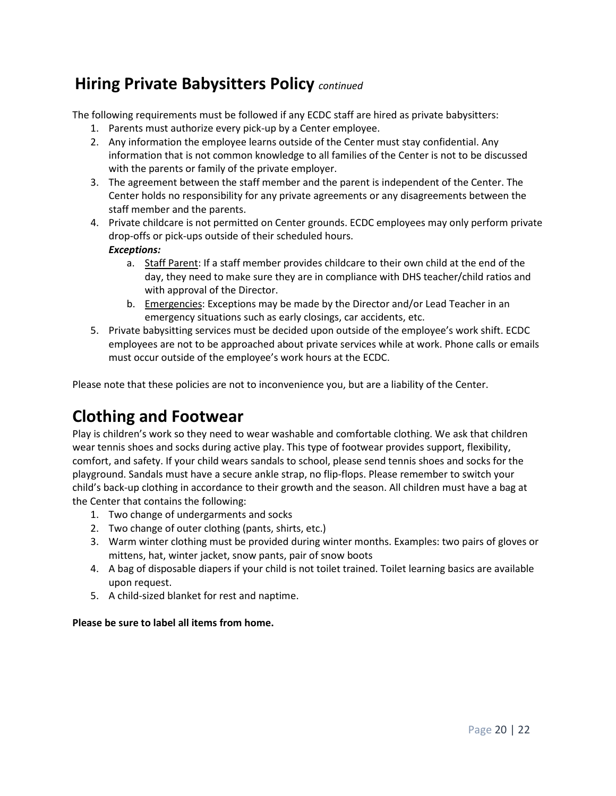### **Hiring Private Babysitters Policy** *continued*

The following requirements must be followed if any ECDC staff are hired as private babysitters:

- 1. Parents must authorize every pick-up by a Center employee.
- 2. Any information the employee learns outside of the Center must stay confidential. Any information that is not common knowledge to all families of the Center is not to be discussed with the parents or family of the private employer.
- 3. The agreement between the staff member and the parent is independent of the Center. The Center holds no responsibility for any private agreements or any disagreements between the staff member and the parents.
- 4. Private childcare is not permitted on Center grounds. ECDC employees may only perform private drop-offs or pick-ups outside of their scheduled hours. *Exceptions:*
	- a. Staff Parent: If a staff member provides childcare to their own child at the end of the day, they need to make sure they are in compliance with DHS teacher/child ratios and with approval of the Director.
	- b. Emergencies: Exceptions may be made by the Director and/or Lead Teacher in an emergency situations such as early closings, car accidents, etc.
- 5. Private babysitting services must be decided upon outside of the employee's work shift. ECDC employees are not to be approached about private services while at work. Phone calls or emails must occur outside of the employee's work hours at the ECDC.

Please note that these policies are not to inconvenience you, but are a liability of the Center.

### <span id="page-19-0"></span>**Clothing and Footwear**

Play is children's work so they need to wear washable and comfortable clothing. We ask that children wear tennis shoes and socks during active play. This type of footwear provides support, flexibility, comfort, and safety. If your child wears sandals to school, please send tennis shoes and socks for the playground. Sandals must have a secure ankle strap, no flip-flops. Please remember to switch your child's back-up clothing in accordance to their growth and the season. All children must have a bag at the Center that contains the following:

- 1. Two change of undergarments and socks
- 2. Two change of outer clothing (pants, shirts, etc.)
- 3. Warm winter clothing must be provided during winter months. Examples: two pairs of gloves or mittens, hat, winter jacket, snow pants, pair of snow boots
- 4. A bag of disposable diapers if your child is not toilet trained. Toilet learning basics are available upon request.
- 5. A child-sized blanket for rest and naptime.

#### **Please be sure to label all items from home.**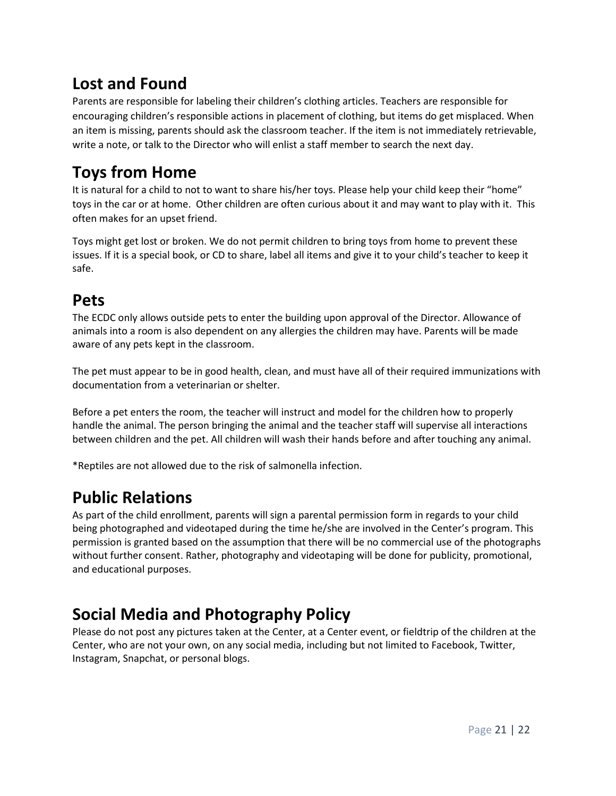## <span id="page-20-0"></span>**Lost and Found**

Parents are responsible for labeling their children's clothing articles. Teachers are responsible for encouraging children's responsible actions in placement of clothing, but items do get misplaced. When an item is missing, parents should ask the classroom teacher. If the item is not immediately retrievable, write a note, or talk to the Director who will enlist a staff member to search the next day.

## <span id="page-20-1"></span>**Toys from Home**

It is natural for a child to not to want to share his/her toys. Please help your child keep their "home" toys in the car or at home. Other children are often curious about it and may want to play with it. This often makes for an upset friend.

Toys might get lost or broken. We do not permit children to bring toys from home to prevent these issues. If it is a special book, or CD to share, label all items and give it to your child's teacher to keep it safe.

#### <span id="page-20-2"></span>**Pets**

The ECDC only allows outside pets to enter the building upon approval of the Director. Allowance of animals into a room is also dependent on any allergies the children may have. Parents will be made aware of any pets kept in the classroom.

The pet must appear to be in good health, clean, and must have all of their required immunizations with documentation from a veterinarian or shelter.

Before a pet enters the room, the teacher will instruct and model for the children how to properly handle the animal. The person bringing the animal and the teacher staff will supervise all interactions between children and the pet. All children will wash their hands before and after touching any animal.

\*Reptiles are not allowed due to the risk of salmonella infection.

## <span id="page-20-3"></span>**Public Relations**

As part of the child enrollment, parents will sign a parental permission form in regards to your child being photographed and videotaped during the time he/she are involved in the Center's program. This permission is granted based on the assumption that there will be no commercial use of the photographs without further consent. Rather, photography and videotaping will be done for publicity, promotional, and educational purposes.

## <span id="page-20-4"></span>**Social Media and Photography Policy**

Please do not post any pictures taken at the Center, at a Center event, or fieldtrip of the children at the Center, who are not your own, on any social media, including but not limited to Facebook, Twitter, Instagram, Snapchat, or personal blogs.